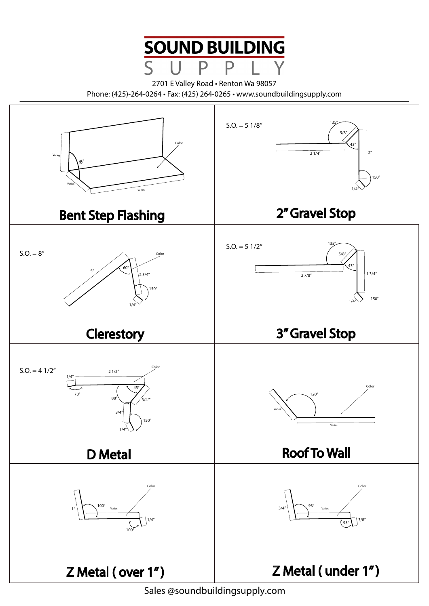

2701 E Valley Road • Renton Wa 98057 Phone: (425)-264-0264 • Fax: (425) 264-0265 • www.soundbuildingsupply.com



Sales @soundbuildingsupply.com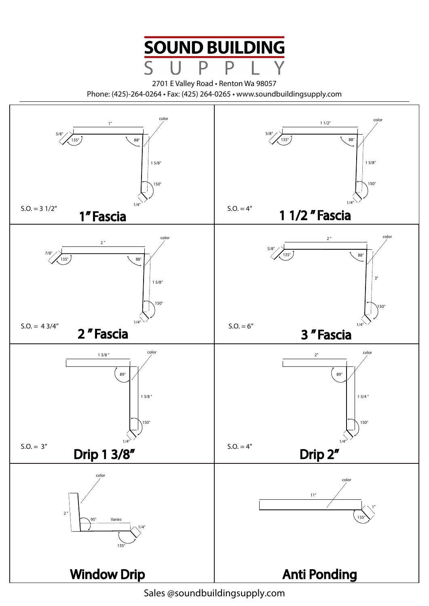

2701 E Valley Road • Renton Wa 98057 Phone: (425)-264-0264 • Fax: (425) 264-0265 • www.soundbuildingsupply.com



Sales @soundbuildingsupply.com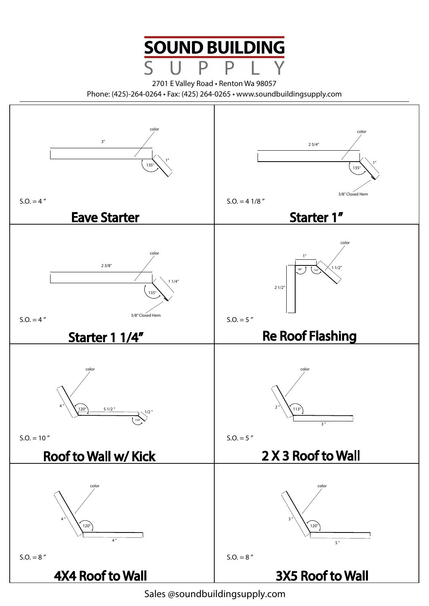

2701 E Valley Road • Renton Wa 98057

Phone: (425)-264-0264 • Fax: (425) 264-0265 • www.soundbuildingsupply.com



Sales @soundbuildingsupply.com